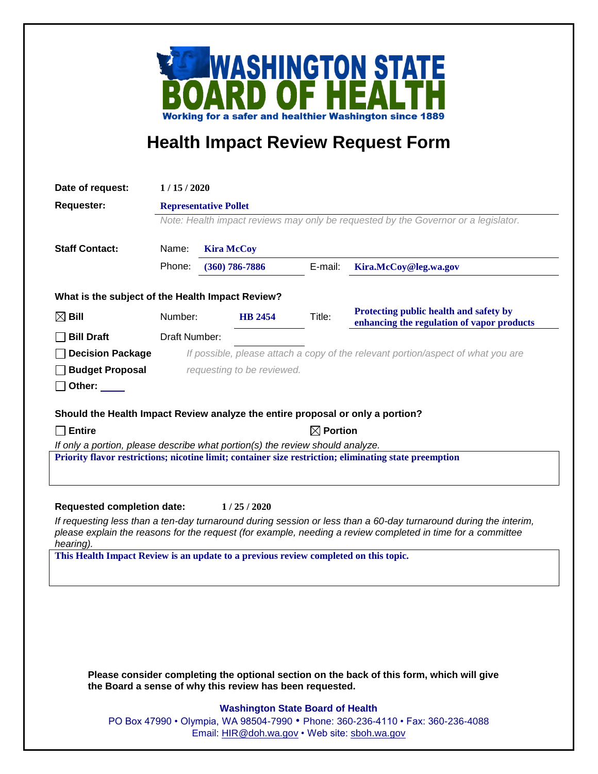

## **Health Impact Review Request Form**

| Date of request:                                                                                                                                                   | 1/15/2020                                                                          |                    |         |                                                                                      |
|--------------------------------------------------------------------------------------------------------------------------------------------------------------------|------------------------------------------------------------------------------------|--------------------|---------|--------------------------------------------------------------------------------------|
| <b>Requester:</b>                                                                                                                                                  | <b>Representative Pollet</b>                                                       |                    |         |                                                                                      |
|                                                                                                                                                                    | Note: Health impact reviews may only be requested by the Governor or a legislator. |                    |         |                                                                                      |
|                                                                                                                                                                    |                                                                                    |                    |         |                                                                                      |
| <b>Staff Contact:</b>                                                                                                                                              | Name:                                                                              | <b>Kira McCoy</b>  |         |                                                                                      |
|                                                                                                                                                                    | Phone:                                                                             | $(360) 786 - 7886$ | E-mail: | Kira.McCoy@leg.wa.gov                                                                |
| What is the subject of the Health Impact Review?                                                                                                                   |                                                                                    |                    |         |                                                                                      |
| $\boxtimes$ Bill                                                                                                                                                   | Number:                                                                            | <b>HB</b> 2454     | Title:  | Protecting public health and safety by<br>enhancing the regulation of vapor products |
| <b>Bill Draft</b>                                                                                                                                                  | Draft Number:                                                                      |                    |         |                                                                                      |
| <b>Decision Package</b>                                                                                                                                            | If possible, please attach a copy of the relevant portion/aspect of what you are   |                    |         |                                                                                      |
| <b>Budget Proposal</b>                                                                                                                                             | requesting to be reviewed.                                                         |                    |         |                                                                                      |
| Other:                                                                                                                                                             |                                                                                    |                    |         |                                                                                      |
| Should the Health Impact Review analyze the entire proposal or only a portion?                                                                                     |                                                                                    |                    |         |                                                                                      |
| $\Box$ Entire                                                                                                                                                      | $\boxtimes$ Portion                                                                |                    |         |                                                                                      |
| If only a portion, please describe what portion(s) the review should analyze.                                                                                      |                                                                                    |                    |         |                                                                                      |
| Priority flavor restrictions; nicotine limit; container size restriction; eliminating state preemption                                                             |                                                                                    |                    |         |                                                                                      |
|                                                                                                                                                                    |                                                                                    |                    |         |                                                                                      |
|                                                                                                                                                                    |                                                                                    |                    |         |                                                                                      |
| <b>Requested completion date:</b><br>1/25/2020<br>If requesting less than a ten-day turnaround during session or less than a 60-day turnaround during the interim, |                                                                                    |                    |         |                                                                                      |
| please explain the reasons for the request (for example, needing a review completed in time for a committee<br>hearing).                                           |                                                                                    |                    |         |                                                                                      |
| This Health Impact Review is an update to a previous review completed on this topic.                                                                               |                                                                                    |                    |         |                                                                                      |
|                                                                                                                                                                    |                                                                                    |                    |         |                                                                                      |
|                                                                                                                                                                    |                                                                                    |                    |         |                                                                                      |
|                                                                                                                                                                    |                                                                                    |                    |         |                                                                                      |
|                                                                                                                                                                    |                                                                                    |                    |         |                                                                                      |
|                                                                                                                                                                    |                                                                                    |                    |         |                                                                                      |
|                                                                                                                                                                    |                                                                                    |                    |         |                                                                                      |
| Please consider completing the optional section on the back of this form, which will give<br>the Board a sense of why this review has been requested.              |                                                                                    |                    |         |                                                                                      |
| <b>Washington State Board of Health</b>                                                                                                                            |                                                                                    |                    |         |                                                                                      |

PO Box 47990 • Olympia, WA 98504-7990 • Phone: 360-236-4110 • Fax: 360-236-4088 Email: [HIR@doh.wa.gov](mailto:HIR@doh.wa.gov) • Web site: [sboh.wa.gov](http://www.sboh.wa.gov/hdcouncil/)